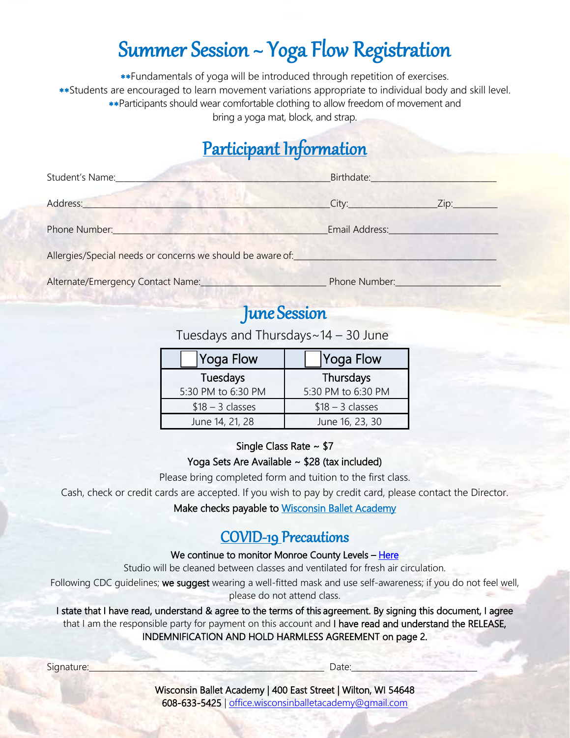# Summer Session ~ Yoga Flow Registration

∗∗Fundamentals of yoga will be introduced through repetition of exercises. ∗∗Students are encouraged to learn movement variations appropriate to individual body and skill level. ∗∗Participants should wear comfortable clothing to allow freedom of movement and bring a yoga mat, block, and strap.

# Participant Information

| Student's Name:                                            | Birthdate:     |      |
|------------------------------------------------------------|----------------|------|
| Address:                                                   | City:          | Zip: |
| Phone Number:                                              | Email Address: |      |
| Allergies/Special needs or concerns we should be aware of: |                |      |

Alternate/Emergency Contact Name:\_\_\_\_\_\_\_\_\_\_\_\_\_\_\_\_\_\_\_\_\_\_\_\_\_\_\_\_\_\_\_ Phone Number:\_\_\_\_\_\_\_\_\_\_\_\_\_\_\_\_\_\_\_\_\_\_\_\_\_\_

# June Session

Tuesdays and Thursdays~14 – 30 June

| <b>Yoga Flow</b>   | Yoga Flow          |  |
|--------------------|--------------------|--|
| Tuesdays           | Thursdays          |  |
| 5:30 PM to 6:30 PM | 5:30 PM to 6:30 PM |  |
| $$18 - 3$ classes  | $$18 - 3$ classes  |  |
| June 14, 21, 28    | June 16, 23, 30    |  |

## Single Class Rate ~ \$7

## Yoga Sets Are Available ~ \$28 (tax included)

Please bring completed form and tuition to the first class.

Cash, check or credit cards are accepted. If you wish to pay by credit card, please contact the Director.

Make checks payable to Wisconsin Ballet Academy

## COVID-19 Precautions

### We continue to monitor Monroe County Levels - Here

Studio will be cleaned between classes and ventilated for fresh air circulation.

Following CDC guidelines; we suggest wearing a well-fitted mask and use self-awareness; if you do not feel well, please do not attend class.

I state that I have read, understand & agree to the terms of this agreement. By signing this document, I agree that I am the responsible party for payment on this account and I have read and understand the RELEASE, INDEMNIFICATION AND HOLD HARMLESS AGREEMENT on page 2.

Signature:\_\_\_\_\_\_\_\_\_\_\_\_\_\_\_\_\_\_\_\_\_\_\_\_\_\_\_\_\_\_\_\_\_\_\_\_\_\_\_\_\_\_\_\_\_\_\_\_\_\_\_\_\_\_\_\_\_\_ Date:\_\_\_\_\_\_\_\_\_\_\_\_\_\_\_\_\_\_\_\_\_\_\_\_\_\_\_\_\_\_\_

Wisconsin Ballet Academy | 400 East Street | Wilton, WI 54648 608-633-5425 | [office.wisconsinballetacademy@gmail.com](mailto:office.wisconsinballetacademy@gmail.com)